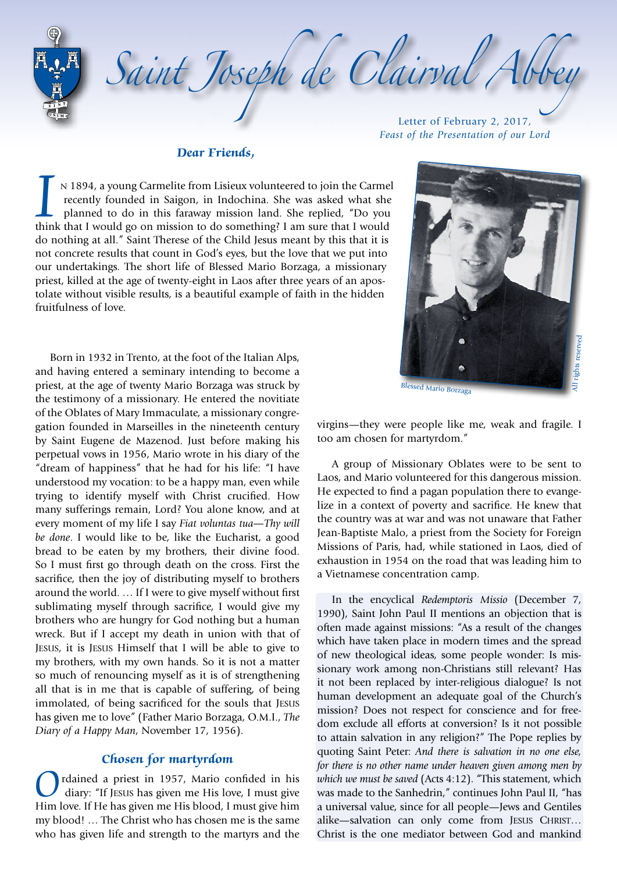*Saint Joseph de Clairval Abbey* Letter of February 2, 2017,

#### **Dear Friends,**

I n 1894, a young Carmelite from Lisieux volunteered to join the Carmel recently founded in Saigon, in Indochina. She was asked what she planned to do in this faraway mission land. She replied, "Do you think that I would g recently founded in Saigon, in Indochina. She was asked what she planned to do in this faraway mission land. She replied, "Do you do nothing at all." Saint Therese of the Child Jesus meant by this that it is not concrete results that count in God's eyes, but the love that we put into our undertakings. The short life of Blessed Mario Borzaga, a missionary priest, killed at the age of twenty-eight in Laos after three years of an apostolate without visible results, is a beautiful example of faith in the hidden fruitfulness of love.

Born in 1932 in Trento, at the foot of the Italian Alps, and having entered a seminary intending to become a priest, at the age of twenty Mario Borzaga was struck by the testimony of a missionary. He entered the novitiate of the Oblates of Mary Immaculate, a missionary congregation founded in Marseilles in the nineteenth century by Saint Eugene de Mazenod. Just before making his perpetual vows in 1956, Mario wrote in his diary of the "dream of happiness" that he had for his life: "I have understood my vocation: to be a happy man, even while trying to identify myself with Christ crucified. How many sufferings remain, Lord? You alone know, and at every moment of my life I say *Fiat voluntas tua—Thy will be done*. I would like to be, like the Eucharist, a good bread to be eaten by my brothers, their divine food. So I must first go through death on the cross. First the sacrifice, then the joy of distributing myself to brothers around the world. … If I were to give myself without first sublimating myself through sacrifice, I would give my brothers who are hungry for God nothing but a human wreck. But if I accept my death in union with that of Jesus, it is Jesus Himself that I will be able to give to my brothers, with my own hands. So it is not a matter so much of renouncing myself as it is of strengthening all that is in me that is capable of suffering, of being immolated, of being sacrificed for the souls that Jesus has given me to love" (Father Mario Borzaga, O.M.I., *The Diary of a Happy Man*, November 17, 1956).

## **Chosen for martyrdom**

Ordained a priest in 1957, Mario confided in his diary: "If JESUS has given me His love, I must give Him love. If He has given me His blood, I must give him my blood! … The Christ who has chosen me is the same who has given life and strength to the martyrs and the

*Feast of the Presentation of our Lord*



virgins—they were people like me, weak and fragile. I too am chosen for martyrdom."

A group of Missionary Oblates were to be sent to Laos, and Mario volunteered for this dangerous mission. He expected to find a pagan population there to evangelize in a context of poverty and sacrifice. He knew that the country was at war and was not unaware that Father Jean-Baptiste Malo, a priest from the Society for Foreign Missions of Paris, had, while stationed in Laos, died of exhaustion in 1954 on the road that was leading him to a Vietnamese concentration camp.

In the encyclical *Redemptoris Missio* (December 7, 1990), Saint John Paul II mentions an objection that is often made against missions: "As a result of the changes which have taken place in modern times and the spread of new theological ideas, some people wonder: Is missionary work among non-Christians still relevant? Has it not been replaced by inter-religious dialogue? Is not human development an adequate goal of the Church's mission? Does not respect for conscience and for freedom exclude all efforts at conversion? Is it not possible to attain salvation in any religion?" The Pope replies by quoting Saint Peter: *And there is salvation in no one else, for there is no other name under heaven given among men by which we must be saved* (Acts 4:12). "This statement, which was made to the Sanhedrin," continues John Paul II, "has a universal value, since for all people—Jews and Gentiles alike—salvation can only come from JESUS CHRIST... Christ is the one mediator between God and mankind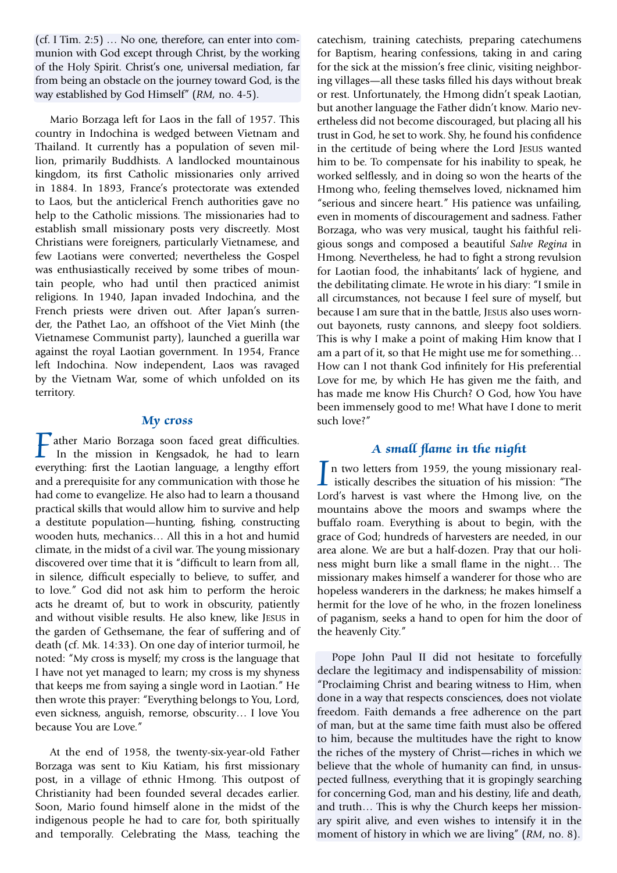(cf. I Tim. 2:5) … No one, therefore, can enter into communion with God except through Christ, by the working of the Holy Spirit. Christ's one, universal mediation, far from being an obstacle on the journey toward God, is the way established by God Himself" (*RM,* no. 4-5).

Mario Borzaga left for Laos in the fall of 1957. This country in Indochina is wedged between Vietnam and Thailand. It currently has a population of seven million, primarily Buddhists. A landlocked mountainous kingdom, its first Catholic missionaries only arrived in 1884. In 1893, France's protectorate was extended to Laos, but the anticlerical French authorities gave no help to the Catholic missions. The missionaries had to establish small missionary posts very discreetly. Most Christians were foreigners, particularly Vietnamese, and few Laotians were converted; nevertheless the Gospel was enthusiastically received by some tribes of mountain people, who had until then practiced animist religions. In 1940, Japan invaded Indochina, and the French priests were driven out. After Japan's surrender, the Pathet Lao, an offshoot of the Viet Minh (the Vietnamese Communist party), launched a guerilla war against the royal Laotian government. In 1954, France left Indochina. Now independent, Laos was ravaged by the Vietnam War, some of which unfolded on its territory.

#### **My cross**

**T** ather Mario Borzaga soon faced great difficulties. In the mission in Kengsadok, he had to learn everything: first the Laotian language, a lengthy effort and a prerequisite for any communication with those he had come to evangelize. He also had to learn a thousand practical skills that would allow him to survive and help a destitute population—hunting, fishing, constructing wooden huts, mechanics… All this in a hot and humid climate, in the midst of a civil war. The young missionary discovered over time that it is "difficult to learn from all, in silence, difficult especially to believe, to suffer, and to love." God did not ask him to perform the heroic acts he dreamt of, but to work in obscurity, patiently and without visible results. He also knew, like Jesus in the garden of Gethsemane, the fear of suffering and of death (cf. Mk. 14:33). On one day of interior turmoil, he noted: "My cross is myself; my cross is the language that I have not yet managed to learn; my cross is my shyness that keeps me from saying a single word in Laotian." He then wrote this prayer: "Everything belongs to You, Lord, even sickness, anguish, remorse, obscurity… I love You because You are Love."

At the end of 1958, the twenty-six-year-old Father Borzaga was sent to Kiu Katiam, his first missionary post, in a village of ethnic Hmong. This outpost of Christianity had been founded several decades earlier. Soon, Mario found himself alone in the midst of the indigenous people he had to care for, both spiritually and temporally. Celebrating the Mass, teaching the catechism, training catechists, preparing catechumens for Baptism, hearing confessions, taking in and caring for the sick at the mission's free clinic, visiting neighboring villages—all these tasks filled his days without break or rest. Unfortunately, the Hmong didn't speak Laotian, but another language the Father didn't know. Mario nevertheless did not become discouraged, but placing all his trust in God, he set to work. Shy, he found his confidence in the certitude of being where the Lord Jesus wanted him to be. To compensate for his inability to speak, he worked selflessly, and in doing so won the hearts of the Hmong who, feeling themselves loved, nicknamed him "serious and sincere heart." His patience was unfailing, even in moments of discouragement and sadness. Father Borzaga, who was very musical, taught his faithful religious songs and composed a beautiful *Salve Regina* in Hmong. Nevertheless, he had to fight a strong revulsion for Laotian food, the inhabitants' lack of hygiene, and the debilitating climate. He wrote in his diary: "I smile in all circumstances, not because I feel sure of myself, but because I am sure that in the battle, Jesus also uses wornout bayonets, rusty cannons, and sleepy foot soldiers. This is why I make a point of making Him know that I am a part of it, so that He might use me for something… How can I not thank God infinitely for His preferential Love for me, by which He has given me the faith, and has made me know His Church? O God, how You have been immensely good to me! What have I done to merit such love?"

# **A small flame in the night**

In two letters from 1959, the young missionary real-<br>istically describes the situation of his mission: "The<br>Lord's baryost is yest where the Hmong live on the Lord's harvest is vast where the Hmong live, on the mountains above the moors and swamps where the buffalo roam. Everything is about to begin, with the grace of God; hundreds of harvesters are needed, in our area alone. We are but a half-dozen. Pray that our holiness might burn like a small flame in the night… The missionary makes himself a wanderer for those who are hopeless wanderers in the darkness; he makes himself a hermit for the love of he who, in the frozen loneliness of paganism, seeks a hand to open for him the door of the heavenly City."

Pope John Paul II did not hesitate to forcefully declare the legitimacy and indispensability of mission: "Proclaiming Christ and bearing witness to Him, when done in a way that respects consciences, does not violate freedom. Faith demands a free adherence on the part of man, but at the same time faith must also be offered to him, because the multitudes have the right to know the riches of the mystery of Christ—riches in which we believe that the whole of humanity can find, in unsuspected fullness, everything that it is gropingly searching for concerning God, man and his destiny, life and death, and truth… This is why the Church keeps her missionary spirit alive, and even wishes to intensify it in the moment of history in which we are living" (*RM*, no. 8).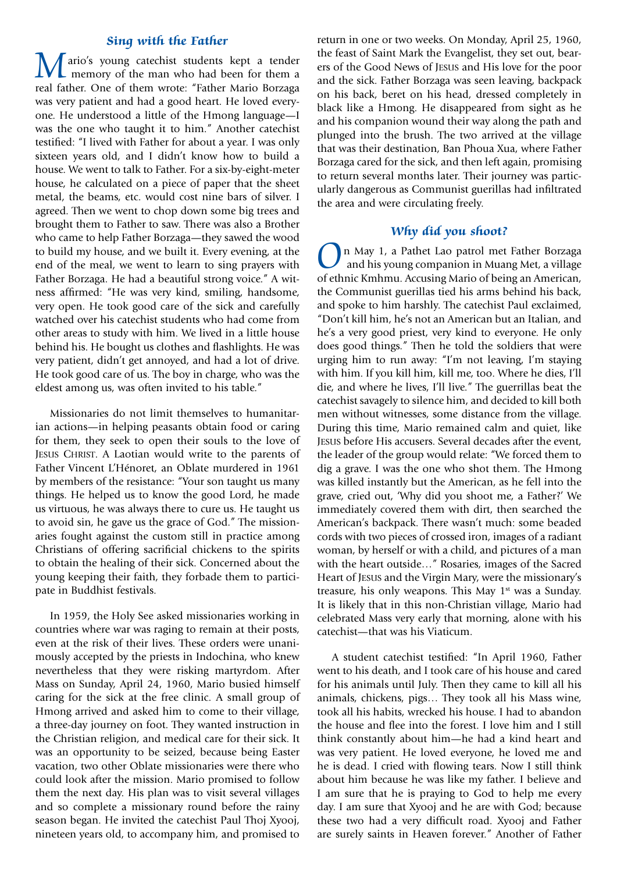## **Sing with the Father**

**M** ario's young catechist students kept a tender<br>memory of the man who had been for them a<br>real father One of them wrote: "Father Mario Borzago real father. One of them wrote: "Father Mario Borzaga was very patient and had a good heart. He loved everyone. He understood a little of the Hmong language—I was the one who taught it to him." Another catechist testified: "I lived with Father for about a year. I was only sixteen years old, and I didn't know how to build a house. We went to talk to Father. For a six-by-eight-meter house, he calculated on a piece of paper that the sheet metal, the beams, etc. would cost nine bars of silver. I agreed. Then we went to chop down some big trees and brought them to Father to saw. There was also a Brother who came to help Father Borzaga—they sawed the wood to build my house, and we built it. Every evening, at the end of the meal, we went to learn to sing prayers with Father Borzaga. He had a beautiful strong voice." A witness affirmed: "He was very kind, smiling, handsome, very open. He took good care of the sick and carefully watched over his catechist students who had come from other areas to study with him. We lived in a little house behind his. He bought us clothes and flashlights. He was very patient, didn't get annoyed, and had a lot of drive. He took good care of us. The boy in charge, who was the eldest among us, was often invited to his table."

Missionaries do not limit themselves to humanitarian actions—in helping peasants obtain food or caring for them, they seek to open their souls to the love of Jesus Christ. A Laotian would write to the parents of Father Vincent L'Hénoret, an Oblate murdered in 1961 by members of the resistance: "Your son taught us many things. He helped us to know the good Lord, he made us virtuous, he was always there to cure us. He taught us to avoid sin, he gave us the grace of God." The missionaries fought against the custom still in practice among Christians of offering sacrificial chickens to the spirits to obtain the healing of their sick. Concerned about the young keeping their faith, they forbade them to participate in Buddhist festivals.

In 1959, the Holy See asked missionaries working in countries where war was raging to remain at their posts, even at the risk of their lives. These orders were unanimously accepted by the priests in Indochina, who knew nevertheless that they were risking martyrdom. After Mass on Sunday, April 24, 1960, Mario busied himself caring for the sick at the free clinic. A small group of Hmong arrived and asked him to come to their village, a three-day journey on foot. They wanted instruction in the Christian religion, and medical care for their sick. It was an opportunity to be seized, because being Easter vacation, two other Oblate missionaries were there who could look after the mission. Mario promised to follow them the next day. His plan was to visit several villages and so complete a missionary round before the rainy season began. He invited the catechist Paul Thoj Xyooj, nineteen years old, to accompany him, and promised to

return in one or two weeks. On Monday, April 25, 1960, the feast of Saint Mark the Evangelist, they set out, bearers of the Good News of Jesus and His love for the poor and the sick. Father Borzaga was seen leaving, backpack on his back, beret on his head, dressed completely in black like a Hmong. He disappeared from sight as he and his companion wound their way along the path and plunged into the brush. The two arrived at the village that was their destination, Ban Phoua Xua, where Father Borzaga cared for the sick, and then left again, promising to return several months later. Their journey was particularly dangerous as Communist guerillas had infiltrated the area and were circulating freely.

### **Why did you shoot?**

On May 1, a Pathet Lao patrol met Father Borzaga and his young companion in Muang Met, a village of ethnic Kmhmu. Accusing Mario of being an American, the Communist guerillas tied his arms behind his back, and spoke to him harshly. The catechist Paul exclaimed, "Don't kill him, he's not an American but an Italian, and he's a very good priest, very kind to everyone. He only does good things." Then he told the soldiers that were urging him to run away: "I'm not leaving, I'm staying with him. If you kill him, kill me, too. Where he dies, I'll die, and where he lives, I'll live." The guerrillas beat the catechist savagely to silence him, and decided to kill both men without witnesses, some distance from the village. During this time, Mario remained calm and quiet, like Jesus before His accusers. Several decades after the event, the leader of the group would relate: "We forced them to dig a grave. I was the one who shot them. The Hmong was killed instantly but the American, as he fell into the grave, cried out, 'Why did you shoot me, a Father?' We immediately covered them with dirt, then searched the American's backpack. There wasn't much: some beaded cords with two pieces of crossed iron, images of a radiant woman, by herself or with a child, and pictures of a man with the heart outside…" Rosaries, images of the Sacred Heart of Jesus and the Virgin Mary, were the missionary's treasure, his only weapons. This May  $1<sup>st</sup>$  was a Sunday. It is likely that in this non-Christian village, Mario had celebrated Mass very early that morning, alone with his catechist—that was his Viaticum.

A student catechist testified: "In April 1960, Father went to his death, and I took care of his house and cared for his animals until July. Then they came to kill all his animals, chickens, pigs… They took all his Mass wine, took all his habits, wrecked his house. I had to abandon the house and flee into the forest. I love him and I still think constantly about him—he had a kind heart and was very patient. He loved everyone, he loved me and he is dead. I cried with flowing tears. Now I still think about him because he was like my father. I believe and I am sure that he is praying to God to help me every day. I am sure that Xyooj and he are with God; because these two had a very difficult road. Xyooj and Father are surely saints in Heaven forever." Another of Father